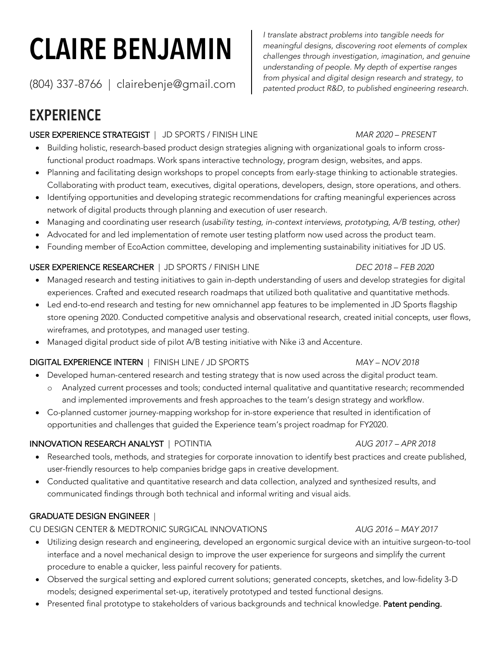# **CLAIRE BENJAMIN**

(804) 337-8766 | clairebenje@gmail.com

**EXPERIENCE**

# USER EXPERIENCE STRATEGIST | JD SPORTS / FINISH LINE *MAR 2020 – PRESENT*

- Building holistic, research-based product design strategies aligning with organizational goals to inform crossfunctional product roadmaps. Work spans interactive technology, program design, websites, and apps.
- Planning and facilitating design workshops to propel concepts from early-stage thinking to actionable strategies. Collaborating with product team, executives, digital operations, developers, design, store operations, and others.
- Identifying opportunities and developing strategic recommendations for crafting meaningful experiences across network of digital products through planning and execution of user research.
- Managing and coordinating user research *(usability testing, in-context interviews, prototyping, A/B testing, other)*
- Advocated for and led implementation of remote user testing platform now used across the product team.
- Founding member of EcoAction committee, developing and implementing sustainability initiatives for JD US.

## USER EXPERIENCE RESEARCHER | JD SPORTS / FINISH LINE *DEC 2018 – FEB 2020*

- Managed research and testing initiatives to gain in-depth understanding of users and develop strategies for digital experiences. Crafted and executed research roadmaps that utilized both qualitative and quantitative methods.
- Led end-to-end research and testing for new omnichannel app features to be implemented in JD Sports flagship store opening 2020. Conducted competitive analysis and observational research, created initial concepts, user flows, wireframes, and prototypes, and managed user testing.
- Managed digital product side of pilot A/B testing initiative with Nike i3 and Accenture.

## DIGITAL EXPERIENCE INTERN | FINISH LINE / JD SPORTS *MAY – NOV 2018*

- Developed human-centered research and testing strategy that is now used across the digital product team.
	- o Analyzed current processes and tools; conducted internal qualitative and quantitative research; recommended and implemented improvements and fresh approaches to the team's design strategy and workflow.
- Co-planned customer journey-mapping workshop for in-store experience that resulted in identification of opportunities and challenges that guided the Experience team's project roadmap for FY2020.

## INNOVATION RESEARCH ANALYST | POTINTIA *AUG 2017 – APR 2018*

- Researched tools, methods, and strategies for corporate innovation to identify best practices and create published, user-friendly resources to help companies bridge gaps in creative development.
- Conducted qualitative and quantitative research and data collection, analyzed and synthesized results, and communicated findings through both technical and informal writing and visual aids.

## GRADUATE DESIGN ENGINEER |

CU DESIGN CENTER & MEDTRONIC SURGICAL INNOVATIONS *AUG 2016 – MAY 2017*

- Utilizing design research and engineering, developed an ergonomic surgical device with an intuitive surgeon-to-tool interface and a novel mechanical design to improve the user experience for surgeons and simplify the current procedure to enable a quicker, less painful recovery for patients.
- Observed the surgical setting and explored current solutions; generated concepts, sketches, and low-fidelity 3-D models; designed experimental set-up, iteratively prototyped and tested functional designs.
- Presented final prototype to stakeholders of various backgrounds and technical knowledge. Patent pending.

## *challenges through investigation, imagination, and genuine understanding of people. My depth of expertise ranges from physical and digital design research and strategy, to patented product R&D, to published engineering research.*

*I translate abstract problems into tangible needs for meaningful designs, discovering root elements of complex*